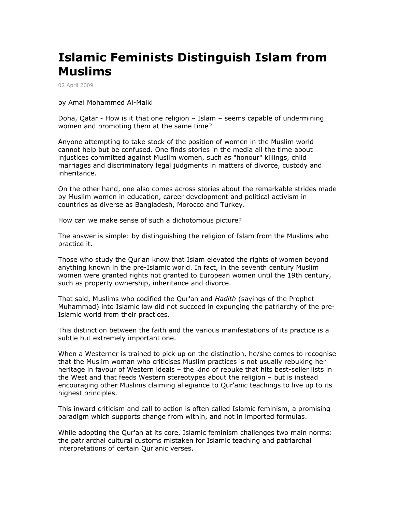## **Islamic Feminists Distinguish Islam from Muslims**

02 April 2009

## by Amal Mohammed Al-Malki

Doha, Qatar - How is it that one religion – Islam – seems capable of undermining women and promoting them at the same time?

Anyone attempting to take stock of the position of women in the Muslim world cannot help but be confused. One finds stories in the media all the time about injustices committed against Muslim women, such as "honour" killings, child marriages and discriminatory legal judgments in matters of divorce, custody and inheritance.

On the other hand, one also comes across stories about the remarkable strides made by Muslim women in education, career development and political activism in countries as diverse as Bangladesh, Morocco and Turkey.

How can we make sense of such a dichotomous picture?

The answer is simple: by distinguishing the religion of Islam from the Muslims who practice it.

Those who study the Qur'an know that Islam elevated the rights of women beyond anything known in the pre-Islamic world. In fact, in the seventh century Muslim women were granted rights not granted to European women until the 19th century, such as property ownership, inheritance and divorce.

That said, Muslims who codified the Qur'an and *Hadith* (sayings of the Prophet Muhammad) into Islamic law did not succeed in expunging the patriarchy of the pre-Islamic world from their practices.

This distinction between the faith and the various manifestations of its practice is a subtle but extremely important one.

When a Westerner is trained to pick up on the distinction, he/she comes to recognise that the Muslim woman who criticises Muslim practices is not usually rebuking her heritage in favour of Western ideals – the kind of rebuke that hits best-seller lists in the West and that feeds Western stereotypes about the religion – but is instead encouraging other Muslims claiming allegiance to Qur'anic teachings to live up to its highest principles.

This inward criticism and call to action is often called Islamic feminism, a promising paradigm which supports change from within, and not in imported formulas.

While adopting the Qur'an at its core, Islamic feminism challenges two main norms: the patriarchal cultural customs mistaken for Islamic teaching and patriarchal interpretations of certain Qur'anic verses.